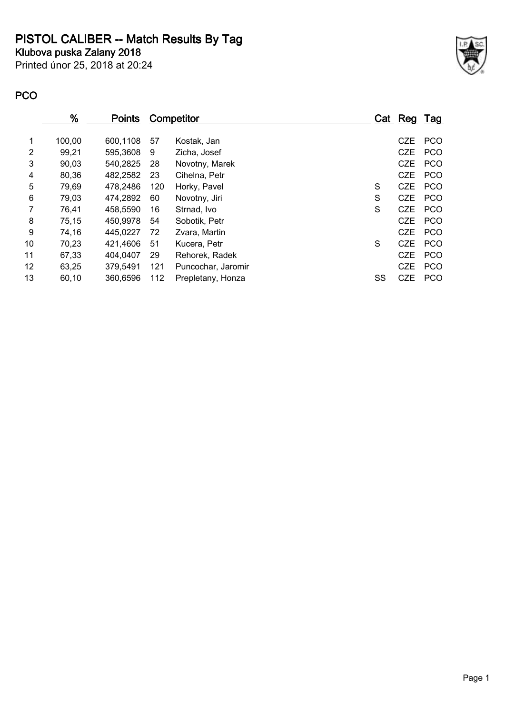**PISTOL CALIBER -- Match Results By Tag**

**Klubova puska Zalany 2018**

Printed únor 25, 2018 at 20:24



## **PCO**

| $\frac{9}{6}$ | <u>Points</u> |     |                    |                   |            |             |
|---------------|---------------|-----|--------------------|-------------------|------------|-------------|
| 100,00        | 600,1108      | 57  | Kostak, Jan        |                   | <b>CZE</b> | <b>PCO</b>  |
| 99,21         | 595,3608      | 9   | Zicha, Josef       |                   | <b>CZE</b> | <b>PCO</b>  |
| 90,03         | 540,2825      | 28  | Novotny, Marek     |                   | <b>CZE</b> | <b>PCO</b>  |
| 80,36         | 482,2582      | 23  | Cihelna, Petr      |                   | <b>CZE</b> | <b>PCO</b>  |
| 79,69         | 478,2486      | 120 | Horky, Pavel       | S                 | <b>CZE</b> | <b>PCO</b>  |
| 79,03         | 474,2892      | 60  | Novotny, Jiri      | S                 | <b>CZE</b> | <b>PCO</b>  |
| 76,41         | 458,5590      | 16  | Strnad, Ivo        | S                 | <b>CZE</b> | <b>PCO</b>  |
| 75,15         | 450,9978      | 54  | Sobotik, Petr      |                   | <b>CZE</b> | <b>PCO</b>  |
| 74,16         | 445,0227      | 72  | Zvara, Martin      |                   | <b>CZE</b> | <b>PCO</b>  |
| 70,23         | 421,4606      | 51  | Kucera, Petr       | S                 | <b>CZE</b> | <b>PCO</b>  |
| 67,33         | 404.0407      | 29  | Rehorek, Radek     |                   | <b>CZE</b> | <b>PCO</b>  |
| 63,25         | 379,5491      | 121 | Puncochar, Jaromir |                   | <b>CZE</b> | <b>PCO</b>  |
| 60,10         | 360,6596      | 112 | Prepletany, Honza  | SS                | <b>CZE</b> | <b>PCO</b>  |
|               |               |     |                    | <b>Competitor</b> |            | Cat Reg Tag |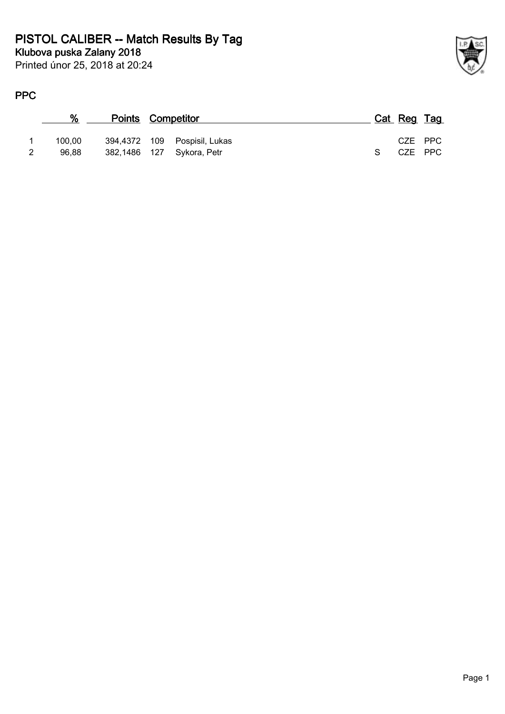Printed únor 25, 2018 at 20:24

## **PPC**

| ℅      | <b>Points Competitor</b> |                              |           | Cat Reg Tag |  |
|--------|--------------------------|------------------------------|-----------|-------------|--|
| 100.00 |                          | 394,4372 109 Pospisil, Lukas |           | CZE PPC     |  |
| 96.88  |                          | 382,1486 127 Sykora, Petr    | $S_{\rm}$ | CZE PPC     |  |